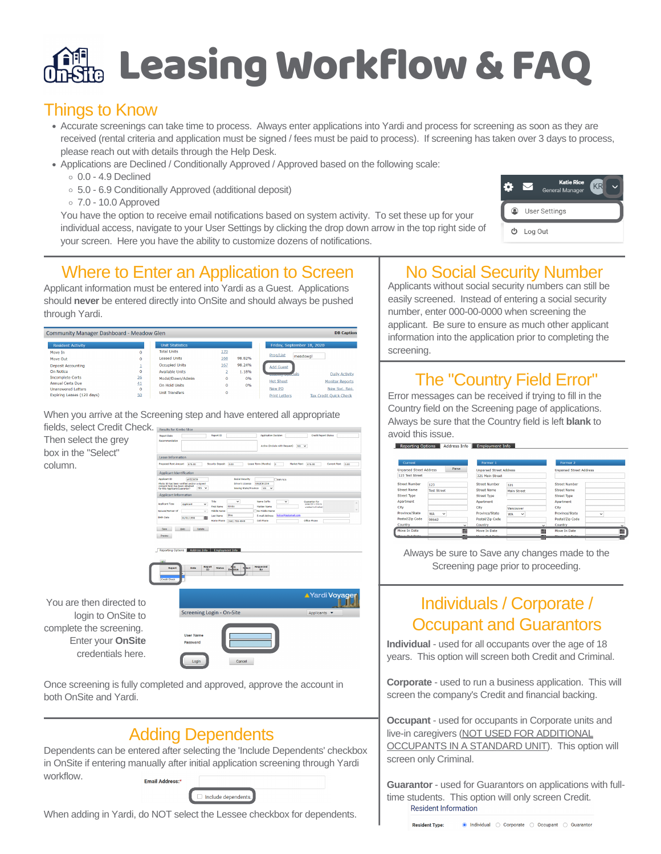# **Rig Leasing Workflow & FAQ**

## Things to Know

- Accurate screenings can take time to process. Always enter applications into Yardi and process for screening as soon as they are received (rental criteria and application must be signed / fees must be paid to process). If screening has taken over 3 days to process, please reach out with details through the Help Desk.
- Applications are Declined / Conditionally Approved / Approved based on the following scale:
	- $0.0 4.9$  Declined
	- 5.0 6.9 Conditionally Approved (additional deposit)
	- 7.0 10.0 Approved

You have the option to receive email notifications based on system activity. To set these up for your individual access, navigate to your User Settings by clicking the drop down arrow in the top right side of your screen. Here you have the ability to customize dozens of notifications.



## Where to Enter an Application to Screen

Applicant information must be entered into Yardi as a Guest. Applications should **never** be entered directly into OnSite and should always be pushed through Yardi.

| Community Manager Dashboard - Meadow Glen |          |                        |          |        |                            | <b>DB</b> Caption:     |
|-------------------------------------------|----------|------------------------|----------|--------|----------------------------|------------------------|
| <b>Resident Activity</b>                  |          | <b>Unit Statistics</b> |          |        | Friday, September 18, 2020 |                        |
| Move In                                   | o        | <b>Total Units</b>     | 170      |        |                            |                        |
| Move Out                                  | 0        | <b>Leased Units</b>    | 168      | 98.82% | Prop/List<br>meadowgl      |                        |
| <b>Deposit Accounting</b>                 |          | Occupied Units         | 167      | 98.24% | <b>Add Guest</b>           |                        |
| On Notice                                 | 0        | <b>Available Units</b> |          | 1.18%  | dals                       | <b>Daily Activity</b>  |
| <b>Incomplete Certs</b>                   | 26       | Model/Down/Admin       | $\Omega$ | 0%     |                            |                        |
| <b>Annual Certs Due</b>                   | 41       | On Hold Units          | $\Omega$ | 0%     | <b>Hot Sheet</b>           | <b>Monitor Reports</b> |
| <b>Unanswered Letters</b>                 | $\Omega$ |                        |          |        | New PO                     | New Svc. Req.          |
| Expiring Leases (120 days)                | 50       | <b>Unit Transfers</b>  | $\Omega$ |        | <b>Print Letters</b>       | Tax Credit Ouick Check |

When you arrive at the Screening step and have entered all appropriate



Once screening is fully completed and approved, approve the account in both OnSite and Yardi.

## Adding Dependents

Dependents can be entered after selecting the 'Include Dependents' checkbox in OnSite if entering manually after initial application screening through Yardi workflow.Email Address:\*

| Include dependents. |
|---------------------|
|                     |

When adding in Yardi, do NOT select the Lessee checkbox for dependents.

## No Social Security Number

Applicants without social security numbers can still be easily screened. Instead of entering a social security number, enter 000-00-0000 when screening the applicant. Be sure to ensure as much other applicant information into the application prior to completing the screening.

## The "Country Field Error"

Error messages can be received if trying to fill in the Country field on the Screening page of applications. Always be sure that the Country field is left **blank** to avoid this issue.

| Current                        |                           |               | Former 1                       |                           |                                    | Former 2                       |              |                          |
|--------------------------------|---------------------------|---------------|--------------------------------|---------------------------|------------------------------------|--------------------------------|--------------|--------------------------|
| <b>Unparsed Street Address</b> |                           | Parse         | <b>Unparsed Street Address</b> |                           |                                    | <b>Unparsed Street Address</b> |              |                          |
| 123 Test Street                |                           |               | 321 Main Street                |                           |                                    |                                |              |                          |
| <b>Street Number</b>           | 123                       |               | <b>Street Number</b>           | 321                       |                                    | <b>Street Number</b>           |              |                          |
| Street Name                    | <b>Test Street</b>        |               | <b>Street Name</b>             | <b>Main Street</b>        |                                    | <b>Street Name</b>             |              |                          |
| <b>Street Type</b>             |                           |               | <b>Street Type</b>             |                           |                                    | <b>Street Type</b>             |              |                          |
| Apartment                      |                           |               | Apartment                      |                           |                                    | Apartment                      |              |                          |
| City                           |                           |               | City                           | Vancouver                 |                                    | City                           |              |                          |
| Province/State                 | <b>WA</b><br>$\checkmark$ |               | Province/State                 | <b>WA</b><br>$\checkmark$ |                                    | Province/State                 | $\checkmark$ |                          |
| Postal/Zip Code                | 98642                     |               | Postal/Zip Code                |                           |                                    | Postal/Zip Code                |              |                          |
| Country                        |                           | $\checkmark$  | Country                        |                           | $\checkmark$                       | Country                        |              | $\checkmark$             |
| Move In Date                   |                           | m             | Move In Date                   |                           | $\blacksquare$                     | Move In Date                   |              | E                        |
| Moura Out Data                 |                           | <b>TELEST</b> | Moura Out Data                 |                           | $\overline{1}$<br><b>CERTIFICA</b> | Moura Out Data                 |              | $\overline{ }$<br>111111 |

Always be sure to Save any changes made to the Screening page prior to proceeding.

## Individuals / Corporate / Occupant and Guarantors

**Individual** - used for all occupants over the age of 18 years. This option will screen both Credit and Criminal.

**Corporate** - used to run a business application. This will screen the company's Credit and financial backing.

**Occupant** - used for occupants in Corporate units and live-in caregivers (NOT USED FOR ADDITIONAL OCCUPANTS IN A STANDARD UNIT). This option will screen only Criminal.

**Guarantor** - used for Guarantors on applications with fulltime students. This option will only screen Credit. **Resident Information**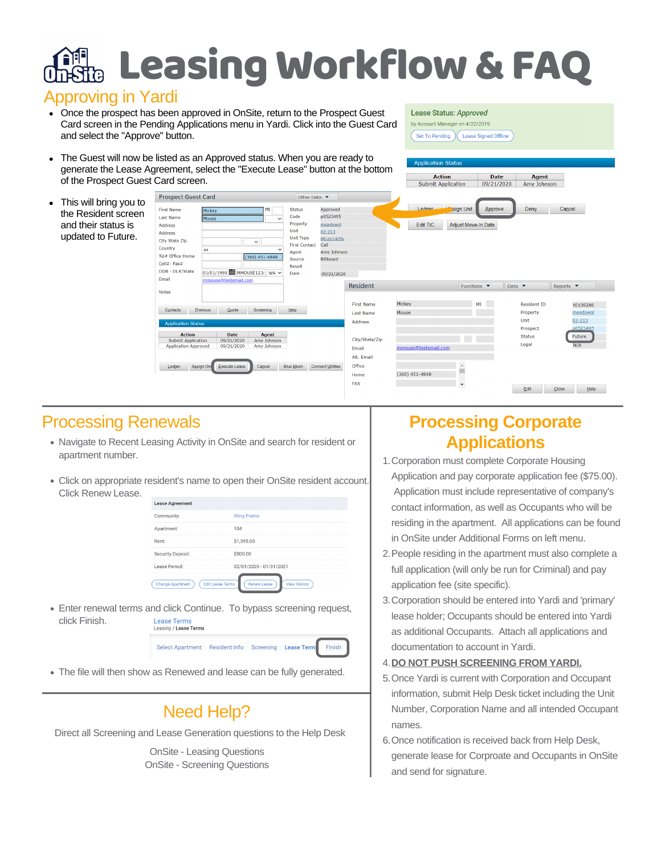## Leasing Workflow&FAQ

### Approving in Yardi

• Once the prospect has been approved in OnSite, return to the Prospect Guest Card screen in the Pending Applications menu in Yardi. Click into the Guest Card and select the "Approve" button.

#### Lease Status: Approved

**Action** 

by Account Manager on 4/22/2019 Set To Pending (Lease Signed Offline)

Date |

Agent

The Guest will now be listed as an Approved status. When you are ready to  $\bullet$ generate the Lease Agreement, select the "Execute Lease" button at the bottom of the Prospect Guest Card screen.

| OF the FTOSpect Guest Card Screen.                               |                                                                                                                                                       |                                                            |                                        |                                                                                                                     |                                                                                                                    |                                                         | Submit Application   | 09/21/2020                                  | Amy Johnson                            |                                    |
|------------------------------------------------------------------|-------------------------------------------------------------------------------------------------------------------------------------------------------|------------------------------------------------------------|----------------------------------------|---------------------------------------------------------------------------------------------------------------------|--------------------------------------------------------------------------------------------------------------------|---------------------------------------------------------|----------------------|---------------------------------------------|----------------------------------------|------------------------------------|
| This will bring you to                                           | <b>Prospect Guest Card</b>                                                                                                                            |                                                            |                                        | Other Data $\blacktriangledown$                                                                                     |                                                                                                                    |                                                         |                      |                                             |                                        |                                    |
| the Resident screen<br>and their status is<br>updated to Future. | <b>First Name</b><br><b>Last Name</b><br><b>Address</b><br>Address<br>City State Zip<br>Country<br>Tel# Office-Home<br>Cell#- Fax#<br>DOB - DL#/State | Mickey<br>Mouse<br><b>us</b><br>01/01/1990 MMOUSE1234 WA V | MI<br>$\checkmark$<br>$(360)$ 451-4848 | <b>Status</b><br>Code<br>Property<br>Unit<br>Unit Type<br><b>First Contact</b><br>Agent<br>Source<br>Result<br>Date | Approved<br>p0523495<br>meadowg<br>$02 - 213$<br>MG2x140%<br>Call<br>Amy Johnson<br><b>Billboard</b><br>09/21/2020 |                                                         | Ledger<br>Edit TIC   | sign Unit<br>Approve<br>Adjust Move-In Date | <b>Deny</b>                            | Cancel                             |
|                                                                  | Email<br><b>Notes</b>                                                                                                                                 | mmouse@testemail.com                                       |                                        |                                                                                                                     |                                                                                                                    | <b>Resident</b>                                         |                      | Functions $\blacktriangledown$              | Data $\bullet$                         | Reports $\bullet$                  |
|                                                                  | Contacts                                                                                                                                              | Previous<br>Quote                                          | Screening                              | Help                                                                                                                |                                                                                                                    | <b>First Name</b><br><b>Last Name</b><br><b>Address</b> | Mickey<br>Mouse      | a s<br>MI                                   | <b>Resident ID</b><br>Property<br>Unit | t0109286<br>meadowgl<br>$02 - 213$ |
|                                                                  | <b>Application Status</b><br><b>Action</b><br><b>Submit Application</b><br><b>Application Approved</b>                                                | <b>Date</b><br>09/21/2020<br>09/21/2020                    | Agent<br>Amy Johnson<br>Amy Johnson    |                                                                                                                     |                                                                                                                    | City/State/Zip<br>Email                                 | mmouse@testemail.com |                                             | Prospect<br><b>Status</b><br>Legal     | p0523495<br>Future<br>N/A          |
|                                                                  | Ledger                                                                                                                                                | Execute Lease<br>Assign Uni                                | Cancel                                 | Blue Moon                                                                                                           | <b>Connect Utilities</b>                                                                                           | Alt. Email<br>Office<br>Home                            | $(360)$ 451-4848     | $\Delta$                                    |                                        |                                    |

## Processing Renewals

- Navigate to Recent Leasing Activity in OnSite and search for resident or apartment number.
- Click on appropriate resident's name to open their OnSite resident account. Click Renew Lease.

| <b>Lease Agreement</b>                             |                                           |
|----------------------------------------------------|-------------------------------------------|
| Community:                                         | <b>Wing Pointe</b>                        |
| Apartment:                                         | 104                                       |
| Rent:                                              | \$1,395.00                                |
| <b>Security Deposit:</b>                           | \$500.00                                  |
| Lease Period:                                      | 02/01/2020 - 01/31/2021                   |
| <b>Edit Lease Terms</b><br><b>Change Apartment</b> | <b>View History</b><br><b>Renew Lease</b> |

Enter renewal terms and click Continue. To bypass screening request, click Finish. **Lease Terms** Lease Terms<br>Leasing / Lease Terms

#### Select Apartment | Resident Info | Screening | Lease Terms Finish

The file will then show as Renewed and lease can be fully generated.

## Need Help?

Direct all Screening and Lease Generation questions to the Help Desk

OnSite - Leasing Questions OnSite - Screening Questions

## **Processing Corporate Applications**

- 1. Corporation must complete Corporate Housing Application and pay corporate application fee (\$75.00). Application must include representative of company's contact information, as well as Occupants who will be residing in the apartment. All applications can be found in OnSite under Additional Forms on left menu.
- 2. People residing in the apartment must also complete a full application (will only be run for Criminal) and pay application fee (site specific).
- 3. Corporation should be entered into Yardi and 'primary' lease holder; Occupants should be entered into Yardi as additional Occupants. Attach all applications and documentation to account in Yardi.

### **DO NOT PUSH SCREENING FROM YARDI.** 4.

- 5. Once Yardi is current with Corporation and Occupant information, submit Help Desk ticket including the Unit Number, Corporation Name and all intended Occupant names.
- 6. Once notification is received back from Help Desk, generate lease for Corproate and Occupants in OnSite and send for signature.